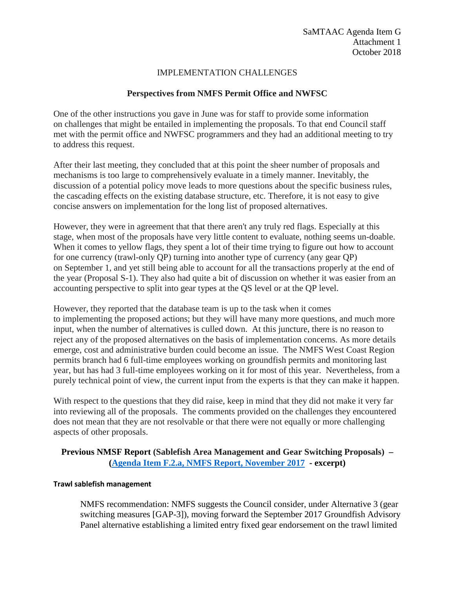### IMPLEMENTATION CHALLENGES

# **Perspectives from NMFS Permit Office and NWFSC**

One of the other instructions you gave in June was for staff to provide some information on challenges that might be entailed in implementing the proposals. To that end Council staff met with the permit office and NWFSC programmers and they had an additional meeting to try to address this request.

After their last meeting, they concluded that at this point the sheer number of proposals and mechanisms is too large to comprehensively evaluate in a timely manner. Inevitably, the discussion of a potential policy move leads to more questions about the specific business rules, the cascading effects on the existing database structure, etc. Therefore, it is not easy to give concise answers on implementation for the long list of proposed alternatives.

However, they were in agreement that that there aren't any truly red flags. Especially at this stage, when most of the proposals have very little content to evaluate, nothing seems un-doable. When it comes to yellow flags, they spent a lot of their time trying to figure out how to account for one currency (trawl-only QP) turning into another type of currency (any gear QP) on September 1, and yet still being able to account for all the transactions properly at the end of the year (Proposal S-1). They also had quite a bit of discussion on whether it was easier from an accounting perspective to split into gear types at the QS level or at the QP level.

However, they reported that the database team is up to the task when it comes to implementing the proposed actions; but they will have many more questions, and much more input, when the number of alternatives is culled down. At this juncture, there is no reason to reject any of the proposed alternatives on the basis of implementation concerns. As more details emerge, cost and administrative burden could become an issue. The NMFS West Coast Region permits branch had 6 full-time employees working on groundfish permits and monitoring last year, but has had 3 full-time employees working on it for most of this year. Nevertheless, from a purely technical point of view, the current input from the experts is that they can make it happen.

With respect to the questions that they did raise, keep in mind that they did not make it very far into reviewing all of the proposals. The comments provided on the challenges they encountered does not mean that they are not resolvable or that there were not equally or more challenging aspects of other proposals.

## **Previous NMSF Report (Sablefish Area Management and Gear Switching Proposals) – [\(Agenda Item F.2.a, NMFS Report, November 2017](https://www.pcouncil.org/wp-content/uploads/2017/11/F2a_Sup_NMFS_Rpt1_PrelimROA_NOV2017BB.pdf) - excerpt)**

#### **Trawl sablefish management**

NMFS recommendation: NMFS suggests the Council consider, under Alternative 3 (gear switching measures [GAP-3]), moving forward the September 2017 Groundfish Advisory Panel alternative establishing a limited entry fixed gear endorsement on the trawl limited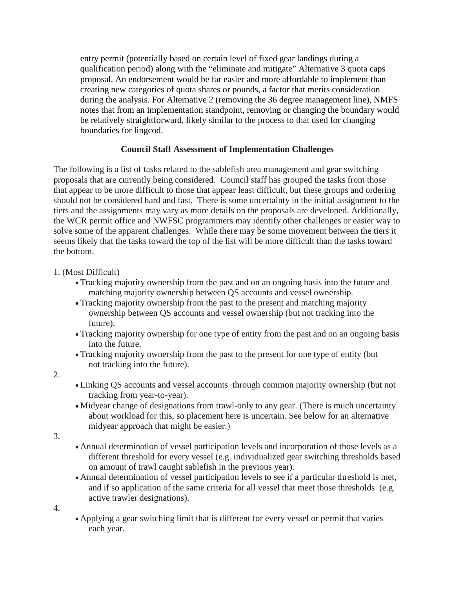entry permit (potentially based on certain level of fixed gear landings during a qualification period) along with the "eliminate and mitigate" Alternative 3 quota caps proposal. An endorsement would be far easier and more affordable to implement than creating new categories of quota shares or pounds, a factor that merits consideration during the analysis. For Alternative 2 (removing the 36 degree management line), NMFS notes that from an implementation standpoint, removing or changing the boundary would be relatively straightforward, likely similar to the process to that used for changing boundaries for lingcod.

## **Council Staff Assessment of Implementation Challenges**

The following is a list of tasks related to the sablefish area management and gear switching proposals that are currently being considered. Council staff has grouped the tasks from those that appear to be more difficult to those that appear least difficult, but these groups and ordering should not be considered hard and fast. There is some uncertainty in the initial assignment to the tiers and the assignments may vary as more details on the proposals are developed. Additionally, the WCR permit office and NWFSC programmers may identify other challenges or easier way to solve some of the apparent challenges. While there may be some movement between the tiers it seems likely that the tasks toward the top of the list will be more difficult than the tasks toward the bottom.

### 1. (Most Difficult)

- Tracking majority ownership from the past and on an ongoing basis into the future and matching majority ownership between QS accounts and vessel ownership.
- Tracking majority ownership from the past to the present and matching majority ownership between QS accounts and vessel ownership (but not tracking into the future).
- Tracking majority ownership for one type of entity from the past and on an ongoing basis into the future.
- Tracking majority ownership from the past to the present for one type of entity (but not tracking into the future).
- 2.
- Linking QS accounts and vessel accounts through common majority ownership (but not tracking from year-to-year).
- Midyear change of designations from trawl-only to any gear. (There is much uncertainty about workload for this, so placement here is uncertain. See below for an alternative midyear approach that might be easier.)
- 3.
- Annual determination of vessel participation levels and incorporation of those levels as a different threshold for every vessel (e.g. individualized gear switching thresholds based on amount of trawl caught sablefish in the previous year).
- Annual determination of vessel participation levels to see if a particular threshold is met, and if so application of the same criteria for all vessel that meet those thresholds (e.g. active trawler designations).
- 4.
- Applying a gear switching limit that is different for every vessel or permit that varies each year.